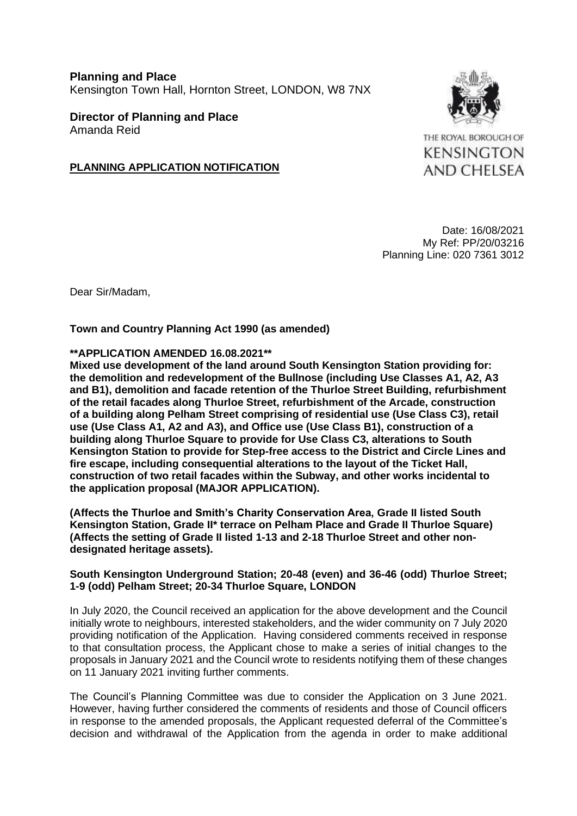**Planning and Place** Kensington Town Hall, Hornton Street, LONDON, W8 7NX

**Director of Planning and Place** Amanda Reid

### **PLANNING APPLICATION NOTIFICATION**

THE ROYAL BOROUGH OF **KENSINGTON AND CHELSEA** 

Date: 16/08/2021 My Ref: PP/20/03216 Planning Line: 020 7361 3012

Dear Sir/Madam,

**Town and Country Planning Act 1990 (as amended)**

#### **\*\*APPLICATION AMENDED 16.08.2021\*\***

**Mixed use development of the land around South Kensington Station providing for: the demolition and redevelopment of the Bullnose (including Use Classes A1, A2, A3 and B1), demolition and facade retention of the Thurloe Street Building, refurbishment of the retail facades along Thurloe Street, refurbishment of the Arcade, construction of a building along Pelham Street comprising of residential use (Use Class C3), retail use (Use Class A1, A2 and A3), and Office use (Use Class B1), construction of a building along Thurloe Square to provide for Use Class C3, alterations to South Kensington Station to provide for Step-free access to the District and Circle Lines and fire escape, including consequential alterations to the layout of the Ticket Hall, construction of two retail facades within the Subway, and other works incidental to the application proposal (MAJOR APPLICATION).**

**(Affects the Thurloe and Smith's Charity Conservation Area, Grade II listed South Kensington Station, Grade II\* terrace on Pelham Place and Grade II Thurloe Square) (Affects the setting of Grade II listed 1-13 and 2-18 Thurloe Street and other nondesignated heritage assets).**

#### **South Kensington Underground Station; 20-48 (even) and 36-46 (odd) Thurloe Street; 1-9 (odd) Pelham Street; 20-34 Thurloe Square, LONDON**

In July 2020, the Council received an application for the above development and the Council initially wrote to neighbours, interested stakeholders, and the wider community on 7 July 2020 providing notification of the Application. Having considered comments received in response to that consultation process, the Applicant chose to make a series of initial changes to the proposals in January 2021 and the Council wrote to residents notifying them of these changes on 11 January 2021 inviting further comments.

The Council's Planning Committee was due to consider the Application on 3 June 2021. However, having further considered the comments of residents and those of Council officers in response to the amended proposals, the Applicant requested deferral of the Committee's decision and withdrawal of the Application from the agenda in order to make additional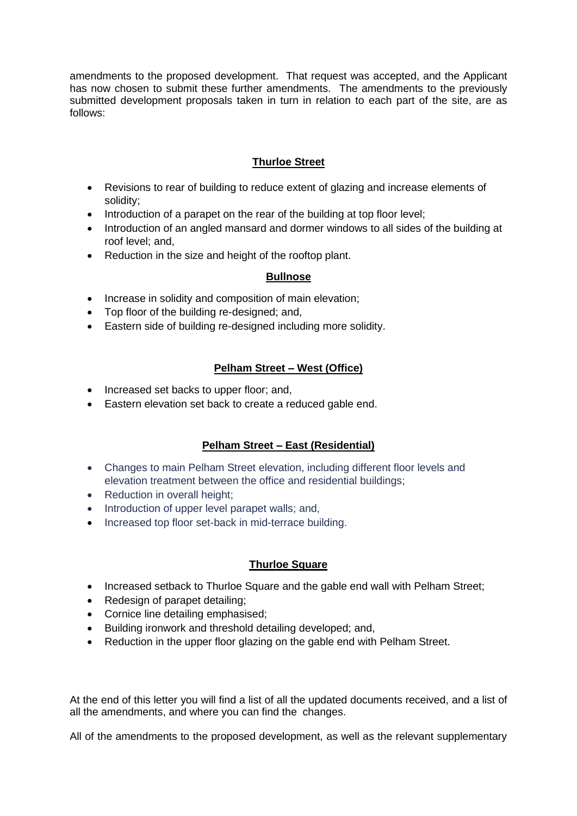amendments to the proposed development. That request was accepted, and the Applicant has now chosen to submit these further amendments. The amendments to the previously submitted development proposals taken in turn in relation to each part of the site, are as follows:

## **Thurloe Street**

- Revisions to rear of building to reduce extent of glazing and increase elements of solidity;
- Introduction of a parapet on the rear of the building at top floor level;
- Introduction of an angled mansard and dormer windows to all sides of the building at roof level; and,
- Reduction in the size and height of the rooftop plant.

## **Bullnose**

- Increase in solidity and composition of main elevation;
- Top floor of the building re-designed; and,
- Eastern side of building re-designed including more solidity.

# **Pelham Street – West (Office)**

- Increased set backs to upper floor; and,
- Eastern elevation set back to create a reduced gable end.

# **Pelham Street – East (Residential)**

- Changes to main Pelham Street elevation, including different floor levels and elevation treatment between the office and residential buildings;
- Reduction in overall height:
- Introduction of upper level parapet walls; and,
- Increased top floor set-back in mid-terrace building.

## **Thurloe Square**

- Increased setback to Thurloe Square and the gable end wall with Pelham Street;
- Redesign of parapet detailing;
- Cornice line detailing emphasised;
- Building ironwork and threshold detailing developed; and,
- Reduction in the upper floor glazing on the gable end with Pelham Street.

At the end of this letter you will find a list of all the updated documents received, and a list of all the amendments, and where you can find the changes.

All of the amendments to the proposed development, as well as the relevant supplementary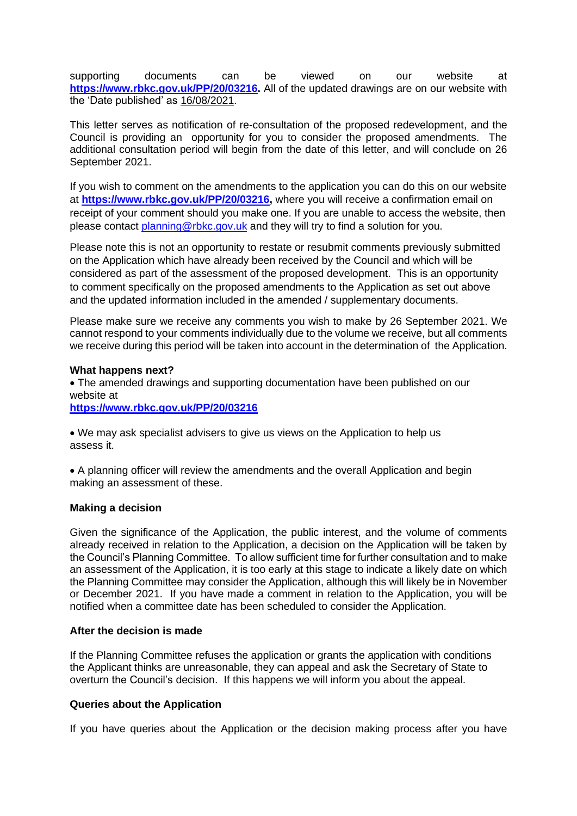supporting documents can be viewed on our website at **[https://www.rbkc.gov.uk/PP/20/03216.](https://www.rbkc.gov.uk/planning/searches/details.aspx?adv=0&simple=pp%2f20%2f03216&simpleBatch=20&simSubmit=Search&id=PP/20/03216&cn=257655+DP9+Ltd+100+Pall+Mall+LONDON+020+7004+1700&type=application&tab=tabs-planning-1)** All of the updated drawings are on our website with the 'Date published' as 16/08/2021.

This letter serves as notification of re-consultation of the proposed redevelopment, and the Council is providing an opportunity for you to consider the proposed amendments. The additional consultation period will begin from the date of this letter, and will conclude on 26 September 2021.

If you wish to comment on the amendments to the application you can do this on our website at **[https://www.rbkc.gov.uk/PP/20/03216,](https://www.rbkc.gov.uk/planning/searches/details.aspx?adv=0&simple=pp%2f20%2f03216&simpleBatch=20&simSubmit=Search&id=PP/20/03216&cn=257655+DP9+Ltd+100+Pall+Mall+LONDON+020+7004+1700&type=application&tab=tabs-planning-1)** where you will receive a confirmation email on receipt of your comment should you make one. If you are unable to access the website, then please contact [planning@rbkc.gov.uk](mailto:planning@rbkc.gov.uk) and they will try to find a solution for you.

Please note this is not an opportunity to restate or resubmit comments previously submitted on the Application which have already been received by the Council and which will be considered as part of the assessment of the proposed development. This is an opportunity to comment specifically on the proposed amendments to the Application as set out above and the updated information included in the amended / supplementary documents.

Please make sure we receive any comments you wish to make by 26 September 2021. We cannot respond to your comments individually due to the volume we receive, but all comments we receive during this period will be taken into account in the determination of the Application.

#### **What happens next?**

• The amended drawings and supporting documentation have been published on our website at

**[https://www.rbkc.gov.uk/PP/20/03216](https://www.rbkc.gov.uk/planning/searches/details.aspx?adv=0&simple=pp%2f20%2f03216&simpleBatch=20&simSubmit=Search&id=PP/20/03216&cn=257655+DP9+Ltd+100+Pall+Mall+LONDON+020+7004+1700&type=application&tab=tabs-planning-1)**

• We may ask specialist advisers to give us views on the Application to help us assess it.

• A planning officer will review the amendments and the overall Application and begin making an assessment of these.

#### **Making a decision**

Given the significance of the Application, the public interest, and the volume of comments already received in relation to the Application, a decision on the Application will be taken by the Council's Planning Committee. To allow sufficient time for further consultation and to make an assessment of the Application, it is too early at this stage to indicate a likely date on which the Planning Committee may consider the Application, although this will likely be in November or December 2021. If you have made a comment in relation to the Application, you will be notified when a committee date has been scheduled to consider the Application.

#### **After the decision is made**

If the Planning Committee refuses the application or grants the application with conditions the Applicant thinks are unreasonable, they can appeal and ask the Secretary of State to overturn the Council's decision. If this happens we will inform you about the appeal.

#### **Queries about the Application**

If you have queries about the Application or the decision making process after you have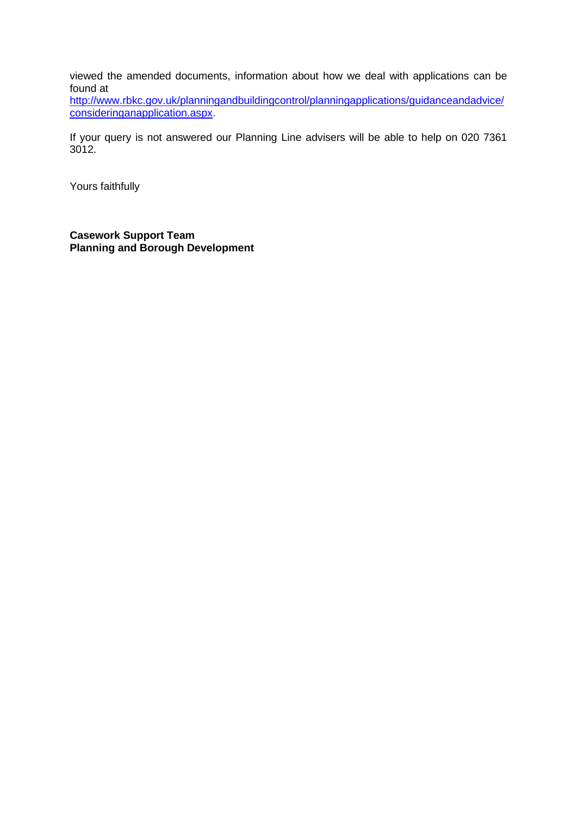viewed the amended documents, information about how we deal with applications can be found at

[http://www.rbkc.gov.uk/planningandbuildingcontrol/planningapplications/guidanceandadvice/](http://www.rbkc.gov.uk/planningandbuildingcontrol/planningapplications/guidanceandadvice/consideringanapplication.aspx) [consideringanapplication.aspx.](http://www.rbkc.gov.uk/planningandbuildingcontrol/planningapplications/guidanceandadvice/consideringanapplication.aspx)

If your query is not answered our Planning Line advisers will be able to help on 020 7361 3012.

Yours faithfully

**Casework Support Team Planning and Borough Development**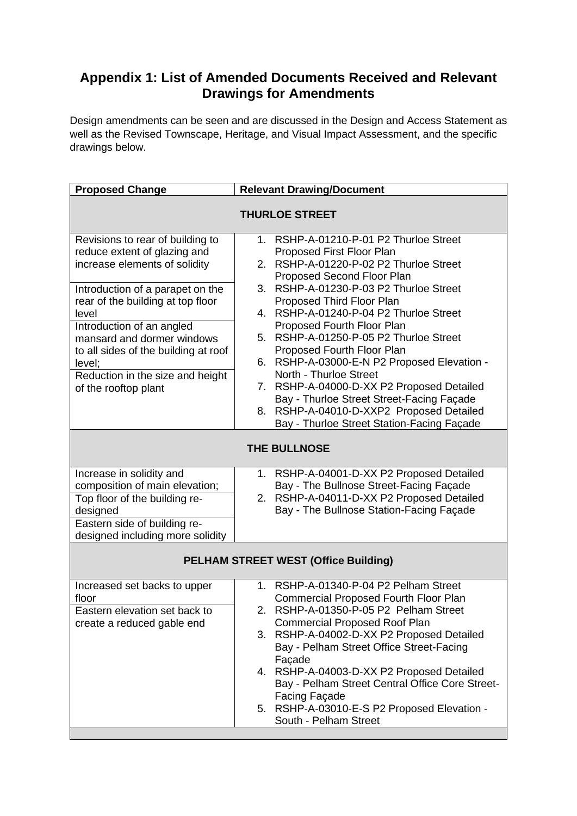# **Appendix 1: List of Amended Documents Received and Relevant Drawings for Amendments**

Design amendments can be seen and are discussed in the Design and Access Statement as well as the Revised Townscape, Heritage, and Visual Impact Assessment, and the specific drawings below.

| <b>Proposed Change</b>                                                                                                                  | <b>Relevant Drawing/Document</b>                                                                                                                                                                                                                                                                                                  |  |  |
|-----------------------------------------------------------------------------------------------------------------------------------------|-----------------------------------------------------------------------------------------------------------------------------------------------------------------------------------------------------------------------------------------------------------------------------------------------------------------------------------|--|--|
| <b>THURLOE STREET</b>                                                                                                                   |                                                                                                                                                                                                                                                                                                                                   |  |  |
| Revisions to rear of building to<br>reduce extent of glazing and<br>increase elements of solidity                                       | RSHP-A-01210-P-01 P2 Thurloe Street<br>$1_{\cdot}$<br>Proposed First Floor Plan<br>2. RSHP-A-01220-P-02 P2 Thurloe Street<br>Proposed Second Floor Plan                                                                                                                                                                           |  |  |
| Introduction of a parapet on the<br>rear of the building at top floor<br>level                                                          | RSHP-A-01230-P-03 P2 Thurloe Street<br>3 <sub>1</sub><br>Proposed Third Floor Plan<br>RSHP-A-01240-P-04 P2 Thurloe Street<br>4.                                                                                                                                                                                                   |  |  |
| Introduction of an angled<br>mansard and dormer windows<br>to all sides of the building at roof<br>level;                               | Proposed Fourth Floor Plan<br>RSHP-A-01250-P-05 P2 Thurloe Street<br>5.<br>Proposed Fourth Floor Plan<br>RSHP-A-03000-E-N P2 Proposed Elevation -<br>6.                                                                                                                                                                           |  |  |
| Reduction in the size and height<br>of the rooftop plant                                                                                | North - Thurloe Street<br>7. RSHP-A-04000-D-XX P2 Proposed Detailed<br>Bay - Thurloe Street Street-Facing Façade<br>8. RSHP-A-04010-D-XXP2 Proposed Detailed<br>Bay - Thurloe Street Station-Facing Façade                                                                                                                        |  |  |
| <b>THE BULLNOSE</b>                                                                                                                     |                                                                                                                                                                                                                                                                                                                                   |  |  |
| Increase in solidity and<br>composition of main elevation;<br>Top floor of the building re-<br>designed<br>Eastern side of building re- | RSHP-A-04001-D-XX P2 Proposed Detailed<br>1.<br>Bay - The Bullnose Street-Facing Façade<br>2. RSHP-A-04011-D-XX P2 Proposed Detailed<br>Bay - The Bullnose Station-Facing Façade                                                                                                                                                  |  |  |
| designed including more solidity                                                                                                        |                                                                                                                                                                                                                                                                                                                                   |  |  |
| <b>PELHAM STREET WEST (Office Building)</b>                                                                                             |                                                                                                                                                                                                                                                                                                                                   |  |  |
| Increased set backs to upper<br>floor<br>Eastern elevation set back to<br>create a reduced gable end                                    | RSHP-A-01340-P-04 P2 Pelham Street<br>$1_{-}$<br><b>Commercial Proposed Fourth Floor Plan</b><br>2. RSHP-A-01350-P-05 P2 Pelham Street<br><b>Commercial Proposed Roof Plan</b><br>RSHP-A-04002-D-XX P2 Proposed Detailed<br>3.<br>Bay - Pelham Street Office Street-Facing<br>Façade<br>4. RSHP-A-04003-D-XX P2 Proposed Detailed |  |  |
|                                                                                                                                         | Bay - Pelham Street Central Office Core Street-<br><b>Facing Façade</b><br>5. RSHP-A-03010-E-S P2 Proposed Elevation -<br>South - Pelham Street                                                                                                                                                                                   |  |  |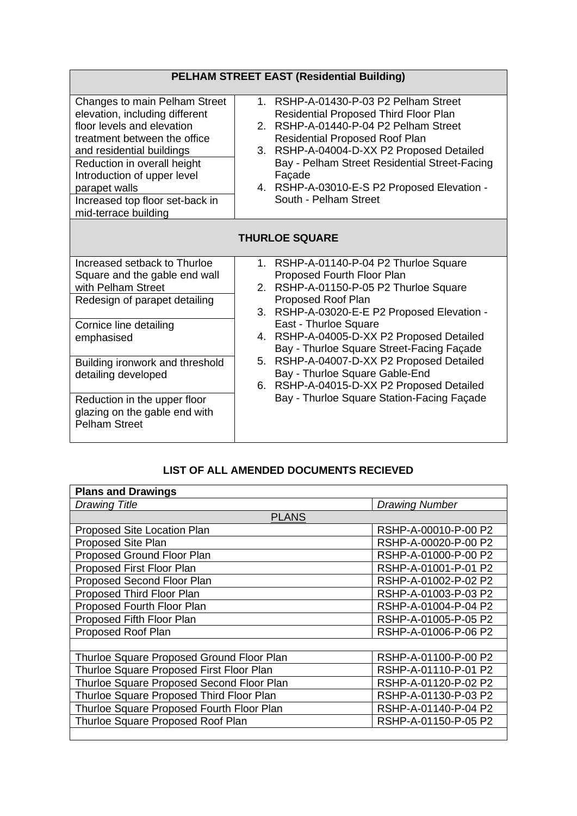| <b>PELHAM STREET EAST (Residential Building)</b>                                                                                                                                                                                                                                                                |                                                                                                                                                                                                                                                                                                                                                                                                                                                                                  |  |
|-----------------------------------------------------------------------------------------------------------------------------------------------------------------------------------------------------------------------------------------------------------------------------------------------------------------|----------------------------------------------------------------------------------------------------------------------------------------------------------------------------------------------------------------------------------------------------------------------------------------------------------------------------------------------------------------------------------------------------------------------------------------------------------------------------------|--|
| Changes to main Pelham Street<br>elevation, including different<br>floor levels and elevation<br>treatment between the office<br>and residential buildings<br>Reduction in overall height<br>Introduction of upper level<br>parapet walls<br>Increased top floor set-back in<br>mid-terrace building            | 1. RSHP-A-01430-P-03 P2 Pelham Street<br><b>Residential Proposed Third Floor Plan</b><br>RSHP-A-01440-P-04 P2 Pelham Street<br>$2^{\circ}$<br><b>Residential Proposed Roof Plan</b><br>RSHP-A-04004-D-XX P2 Proposed Detailed<br>3.<br>Bay - Pelham Street Residential Street-Facing<br>Façade<br>4. RSHP-A-03010-E-S P2 Proposed Elevation -<br>South - Pelham Street                                                                                                           |  |
| <b>THURLOE SQUARE</b>                                                                                                                                                                                                                                                                                           |                                                                                                                                                                                                                                                                                                                                                                                                                                                                                  |  |
| Increased setback to Thurloe<br>Square and the gable end wall<br>with Pelham Street<br>Redesign of parapet detailing<br>Cornice line detailing<br>emphasised<br>Building ironwork and threshold<br>detailing developed<br>Reduction in the upper floor<br>glazing on the gable end with<br><b>Pelham Street</b> | 1. RSHP-A-01140-P-04 P2 Thurloe Square<br>Proposed Fourth Floor Plan<br>2. RSHP-A-01150-P-05 P2 Thurloe Square<br>Proposed Roof Plan<br>3. RSHP-A-03020-E-E P2 Proposed Elevation -<br>East - Thurloe Square<br>4. RSHP-A-04005-D-XX P2 Proposed Detailed<br>Bay - Thurloe Square Street-Facing Façade<br>5. RSHP-A-04007-D-XX P2 Proposed Detailed<br>Bay - Thurloe Square Gable-End<br>6. RSHP-A-04015-D-XX P2 Proposed Detailed<br>Bay - Thurloe Square Station-Facing Façade |  |

# **LIST OF ALL AMENDED DOCUMENTS RECIEVED**

| <b>Plans and Drawings</b>                 |                       |  |  |
|-------------------------------------------|-----------------------|--|--|
| <b>Drawing Title</b>                      | <b>Drawing Number</b> |  |  |
| <b>PLANS</b>                              |                       |  |  |
| Proposed Site Location Plan               | RSHP-A-00010-P-00 P2  |  |  |
| Proposed Site Plan                        | RSHP-A-00020-P-00 P2  |  |  |
| Proposed Ground Floor Plan                | RSHP-A-01000-P-00 P2  |  |  |
| Proposed First Floor Plan                 | RSHP-A-01001-P-01 P2  |  |  |
| Proposed Second Floor Plan                | RSHP-A-01002-P-02 P2  |  |  |
| Proposed Third Floor Plan                 | RSHP-A-01003-P-03 P2  |  |  |
| Proposed Fourth Floor Plan                | RSHP-A-01004-P-04 P2  |  |  |
| Proposed Fifth Floor Plan                 | RSHP-A-01005-P-05 P2  |  |  |
| Proposed Roof Plan                        | RSHP-A-01006-P-06 P2  |  |  |
|                                           |                       |  |  |
| Thurloe Square Proposed Ground Floor Plan | RSHP-A-01100-P-00 P2  |  |  |
| Thurloe Square Proposed First Floor Plan  | RSHP-A-01110-P-01 P2  |  |  |
| Thurloe Square Proposed Second Floor Plan | RSHP-A-01120-P-02 P2  |  |  |
| Thurloe Square Proposed Third Floor Plan  | RSHP-A-01130-P-03 P2  |  |  |
| Thurloe Square Proposed Fourth Floor Plan | RSHP-A-01140-P-04 P2  |  |  |
| Thurloe Square Proposed Roof Plan         | RSHP-A-01150-P-05 P2  |  |  |
|                                           |                       |  |  |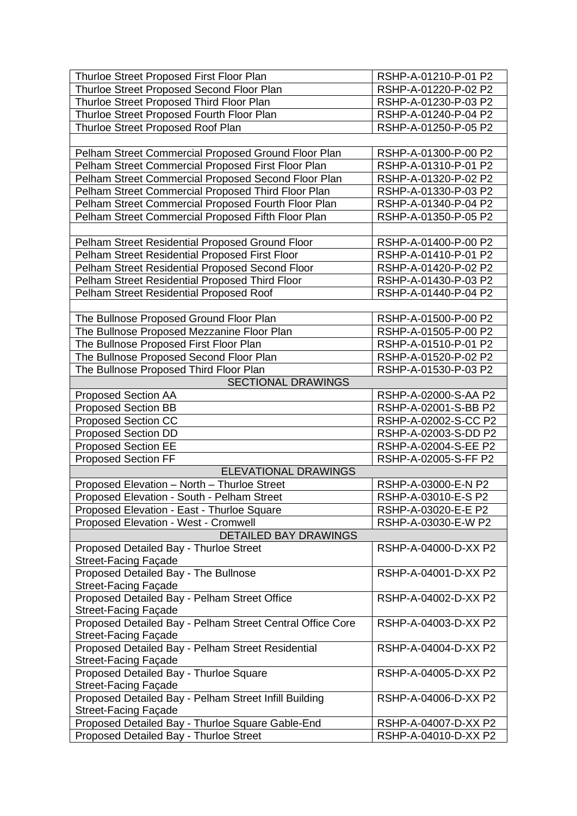| Thurloe Street Proposed First Floor Plan                            | RSHP-A-01210-P-01 P2 |
|---------------------------------------------------------------------|----------------------|
| Thurloe Street Proposed Second Floor Plan                           | RSHP-A-01220-P-02 P2 |
| Thurloe Street Proposed Third Floor Plan                            | RSHP-A-01230-P-03 P2 |
|                                                                     | RSHP-A-01240-P-04 P2 |
| Thurloe Street Proposed Fourth Floor Plan                           |                      |
| Thurloe Street Proposed Roof Plan                                   | RSHP-A-01250-P-05 P2 |
|                                                                     |                      |
| Pelham Street Commercial Proposed Ground Floor Plan                 | RSHP-A-01300-P-00 P2 |
| Pelham Street Commercial Proposed First Floor Plan                  | RSHP-A-01310-P-01 P2 |
| Pelham Street Commercial Proposed Second Floor Plan                 | RSHP-A-01320-P-02 P2 |
| Pelham Street Commercial Proposed Third Floor Plan                  | RSHP-A-01330-P-03 P2 |
| Pelham Street Commercial Proposed Fourth Floor Plan                 | RSHP-A-01340-P-04 P2 |
| Pelham Street Commercial Proposed Fifth Floor Plan                  | RSHP-A-01350-P-05 P2 |
|                                                                     |                      |
| Pelham Street Residential Proposed Ground Floor                     | RSHP-A-01400-P-00 P2 |
| Pelham Street Residential Proposed First Floor                      | RSHP-A-01410-P-01 P2 |
| Pelham Street Residential Proposed Second Floor                     | RSHP-A-01420-P-02 P2 |
| Pelham Street Residential Proposed Third Floor                      | RSHP-A-01430-P-03 P2 |
| Pelham Street Residential Proposed Roof                             | RSHP-A-01440-P-04 P2 |
|                                                                     |                      |
| The Bullnose Proposed Ground Floor Plan                             | RSHP-A-01500-P-00 P2 |
| The Bullnose Proposed Mezzanine Floor Plan                          | RSHP-A-01505-P-00 P2 |
| The Bullnose Proposed First Floor Plan                              | RSHP-A-01510-P-01 P2 |
| The Bullnose Proposed Second Floor Plan                             | RSHP-A-01520-P-02 P2 |
|                                                                     | RSHP-A-01530-P-03 P2 |
| The Bullnose Proposed Third Floor Plan<br><b>SECTIONAL DRAWINGS</b> |                      |
|                                                                     |                      |
| <b>Proposed Section AA</b>                                          | RSHP-A-02000-S-AA P2 |
| <b>Proposed Section BB</b>                                          | RSHP-A-02001-S-BB P2 |
| <b>Proposed Section CC</b>                                          | RSHP-A-02002-S-CC P2 |
| <b>Proposed Section DD</b>                                          | RSHP-A-02003-S-DD P2 |
| <b>Proposed Section EE</b>                                          | RSHP-A-02004-S-EE P2 |
| <b>Proposed Section FF</b>                                          | RSHP-A-02005-S-FF P2 |
| <b>ELEVATIONAL DRAWINGS</b>                                         |                      |
| Proposed Elevation - North - Thurloe Street                         | RSHP-A-03000-E-N P2  |
| Proposed Elevation - South - Pelham Street                          | RSHP-A-03010-E-S P2  |
| Proposed Elevation - East - Thurloe Square                          | RSHP-A-03020-E-E P2  |
| Proposed Elevation - West - Cromwell                                | RSHP-A-03030-E-W P2  |
| <b>DETAILED BAY DRAWINGS</b>                                        |                      |
| Proposed Detailed Bay - Thurloe Street                              | RSHP-A-04000-D-XX P2 |
| <b>Street-Facing Façade</b>                                         |                      |
| Proposed Detailed Bay - The Bullnose                                | RSHP-A-04001-D-XX P2 |
| <b>Street-Facing Façade</b>                                         |                      |
| Proposed Detailed Bay - Pelham Street Office                        | RSHP-A-04002-D-XX P2 |
| Street-Facing Façade                                                |                      |
| Proposed Detailed Bay - Pelham Street Central Office Core           | RSHP-A-04003-D-XX P2 |
| <b>Street-Facing Façade</b>                                         |                      |
| Proposed Detailed Bay - Pelham Street Residential                   | RSHP-A-04004-D-XX P2 |
| <b>Street-Facing Façade</b>                                         |                      |
| Proposed Detailed Bay - Thurloe Square                              | RSHP-A-04005-D-XX P2 |
| <b>Street-Facing Façade</b>                                         |                      |
| Proposed Detailed Bay - Pelham Street Infill Building               | RSHP-A-04006-D-XX P2 |
| <b>Street-Facing Façade</b>                                         |                      |
| Proposed Detailed Bay - Thurloe Square Gable-End                    | RSHP-A-04007-D-XX P2 |
| Proposed Detailed Bay - Thurloe Street                              | RSHP-A-04010-D-XX P2 |
|                                                                     |                      |